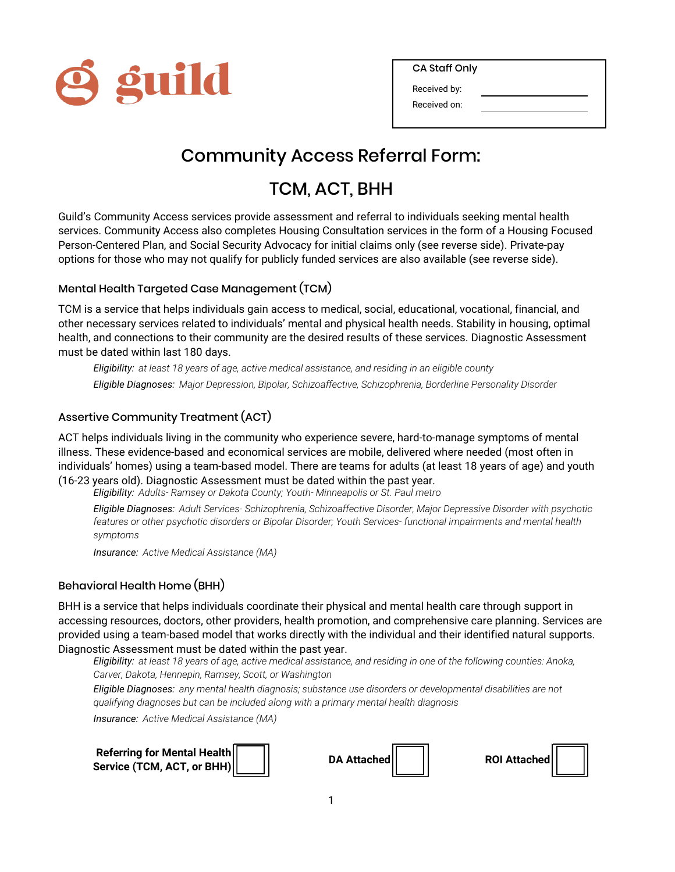

Received by:

Received on:

### Community Access Referral Form:

### TCM, ACT, BHH

Guild's Community Access services provide assessment and referral to individuals seeking mental health services. Community Access also completes Housing Consultation services in the form of a Housing Focused Person-Centered Plan, and Social Security Advocacy for initial claims only (see reverse side). Private-pay options for those who may not qualify for publicly funded services are also available (see reverse side).

#### Mental Health Targeted Case Management (TCM)

TCM is a service that helps individuals gain access to medical, social, educational, vocational, financial, and other necessary services related to individuals' mental and physical health needs. Stability in housing, optimal health, and connections to their community are the desired results of these services. Diagnostic Assessment must be dated within last 180 days.

*Eligibility: at least 18 years of age, active medical assistance, and residing in an eligible county Eligible Diagnoses: Major Depression, Bipolar, Schizoaffective, Schizophrenia, Borderline Personality Disorder*

#### Assertive Community Treatment (ACT)

ACT helps individuals living in the community who experience severe, hard-to-manage symptoms of mental illness. These evidence-based and economical services are mobile, delivered where needed (most often in individuals' homes) using a team-based model. There are teams for adults (at least 18 years of age) and youth (16-23 years old). Diagnostic Assessment must be dated within the past year.

*Eligibility: Adults- Ramsey or Dakota County; Youth- Minneapolis or St. Paul metro*

*Eligible Diagnoses: Adult Services- Schizophrenia, Schizoaffective Disorder, Major Depressive Disorder with psychotic features or other psychotic disorders or Bipolar Disorder; Youth Services- functional impairments and mental health symptoms*

*Insurance: Active Medical Assistance (MA)*

#### Behavioral Health Home (BHH)

BHH is a service that helps individuals coordinate their physical and mental health care through support in accessing resources, doctors, other providers, health promotion, and comprehensive care planning. Services are provided using a team-based model that works directly with the individual and their identified natural supports. Diagnostic Assessment must be dated within the past year.

*Eligibility: at least 18 years of age, active medical assistance, and residing in one of the following counties: Anoka, Carver, Dakota, Hennepin, Ramsey, Scott, or Washington*

*Eligible Diagnoses: any mental health diagnosis; substance use disorders or developmental disabilities are not qualifying diagnoses but can be included along with a primary mental health diagnosis*

*Insurance: Active Medical Assistance (MA)*

| Referring for Mental Health |  |
|-----------------------------|--|
| Service (TCM, ACT, or BHH)  |  |



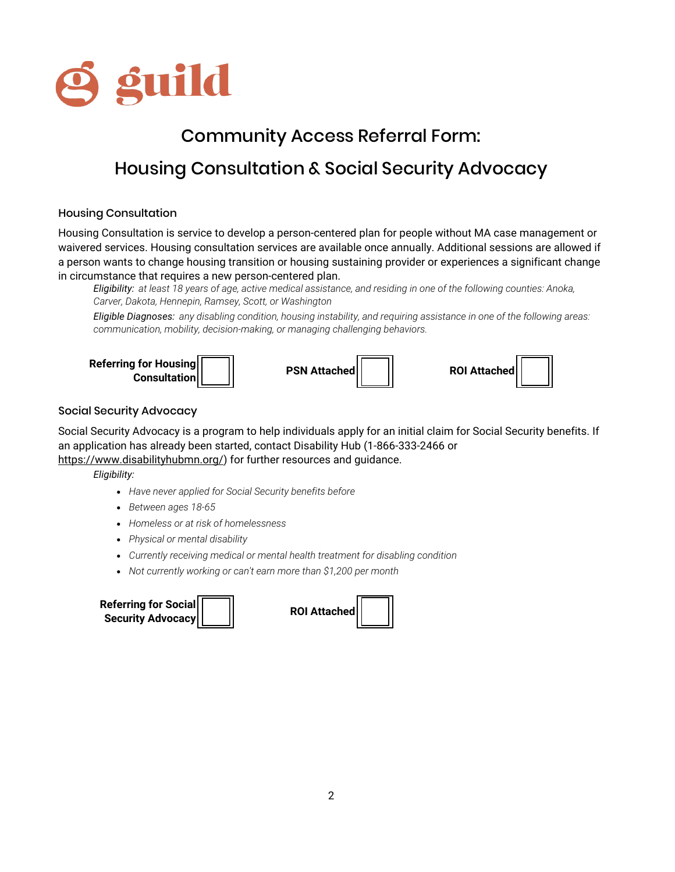

# Community Access Referral Form: Housing Consultation & Social Security Advocacy

#### Housing Consultation

Housing Consultation is service to develop a person-centered plan for people without MA case management or waivered services. Housing consultation services are available once annually. Additional sessions are allowed if a person wants to change housing transition or housing sustaining provider or experiences a significant change in circumstance that requires a new person-centered plan.

*Eligibility: at least 18 years of age, active medical assistance, and residing in one of the following counties: Anoka, Carver, Dakota, Hennepin, Ramsey, Scott, or Washington*

*Eligible Diagnoses: any disabling condition, housing instability, and requiring assistance in one of the following areas: communication, mobility, decision-making, or managing challenging behaviors.*



#### Social Security Advocacy

Social Security Advocacy is a program to help individuals apply for an initial claim for Social Security benefits. If an application has already been started, contact Disability Hub (1-866-333-2466 or

https://www.disabilityhubmn.org/) for further resources and guidance.

*Eligibility:*

- *Have never applied for Social Security benefits before*
- *Between ages 18-65*
- *Homeless or at risk of homelessness*
- *Physical or mental disability*
- *Currently receiving medical or mental health treatment for disabling condition*
- *Not currently working or can't earn more than \$1,200 per month*



| <b>ROI Attached</b> |  |
|---------------------|--|
|                     |  |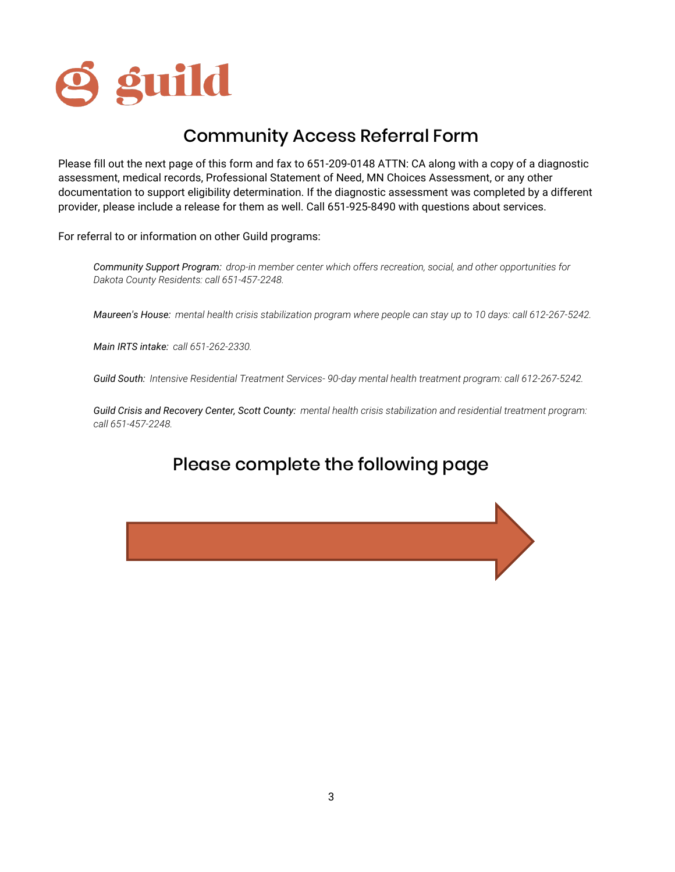

### Community Access Referral Form

Please fill out the next page of this form and fax to 651-209-0148 ATTN: CA along with a copy of a diagnostic assessment, medical records, Professional Statement of Need, MN Choices Assessment, or any other documentation to support eligibility determination. If the diagnostic assessment was completed by a different provider, please include a release for them as well. Call 651-925-8490 with questions about services.

For referral to or information on other Guild programs:

*Community Support Program: drop-in member center which offers recreation, social, and other opportunities for Dakota County Residents: call 651-457-2248.*

*Maureen's House: mental health crisis stabilization program where people can stay up to 10 days: call 612-267-5242.*

*Main IRTS intake: call 651-262-2330.*

*Guild South: Intensive Residential Treatment Services- 90-day mental health treatment program: call 612-267-5242.*

*Guild Crisis and Recovery Center, Scott County: mental health crisis stabilization and residential treatment program: call 651-457-2248.*

### Please complete the following page